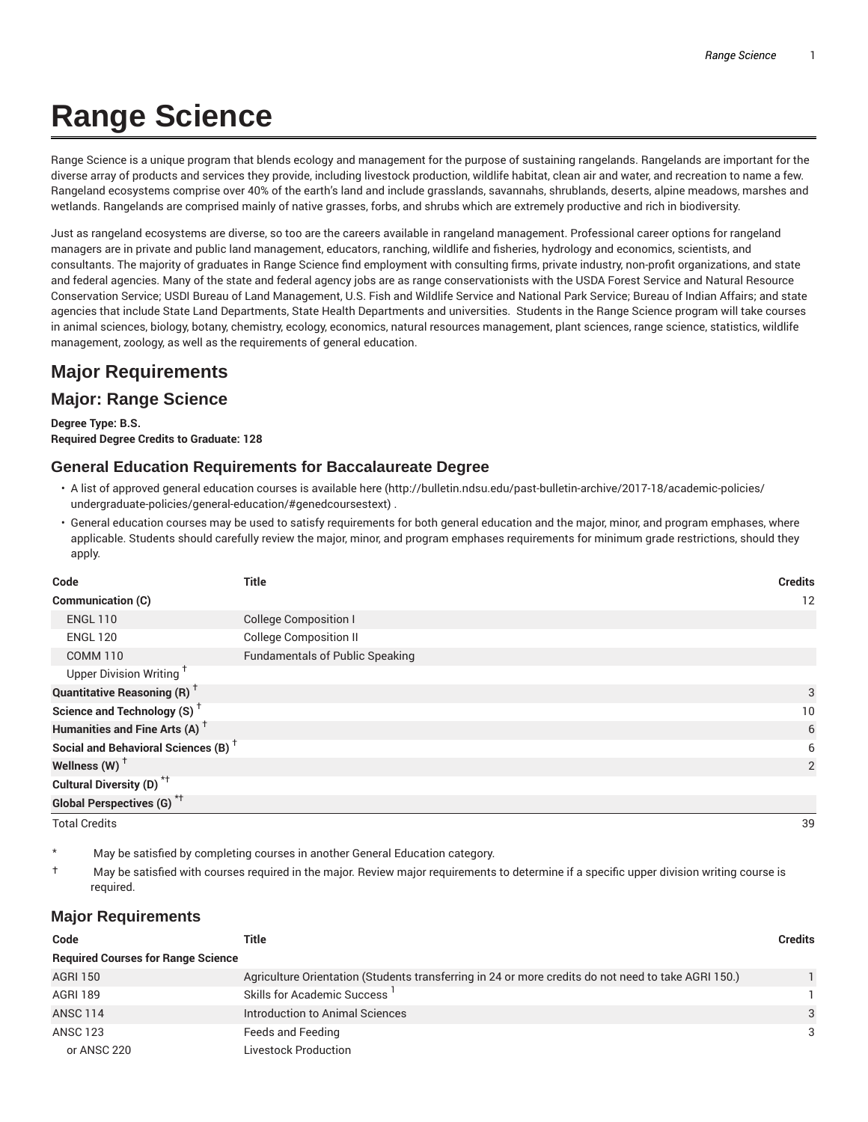# **Range Science**

Range Science is a unique program that blends ecology and management for the purpose of sustaining rangelands. Rangelands are important for the diverse array of products and services they provide, including livestock production, wildlife habitat, clean air and water, and recreation to name a few. Rangeland ecosystems comprise over 40% of the earth's land and include grasslands, savannahs, shrublands, deserts, alpine meadows, marshes and wetlands. Rangelands are comprised mainly of native grasses, forbs, and shrubs which are extremely productive and rich in biodiversity.

Just as rangeland ecosystems are diverse, so too are the careers available in rangeland management. Professional career options for rangeland managers are in private and public land management, educators, ranching, wildlife and fisheries, hydrology and economics, scientists, and consultants. The majority of graduates in Range Science find employment with consulting firms, private industry, non-profit organizations, and state and federal agencies. Many of the state and federal agency jobs are as range conservationists with the USDA Forest Service and Natural Resource Conservation Service; USDI Bureau of Land Management, U.S. Fish and Wildlife Service and National Park Service; Bureau of Indian Affairs; and state agencies that include State Land Departments, State Health Departments and universities. Students in the Range Science program will take courses in animal sciences, biology, botany, chemistry, ecology, economics, natural resources management, plant sciences, range science, statistics, wildlife management, zoology, as well as the requirements of general education.

# **Major Requirements**

## **Major: Range Science**

**Degree Type: B.S. Required Degree Credits to Graduate: 128**

#### **General Education Requirements for Baccalaureate Degree**

- A list of approved general education courses is available here (http://bulletin.ndsu.edu/past-bulletin-archive/2017-18/academic-policies/ undergraduate-policies/general-education/#genedcoursestext) .
- General education courses may be used to satisfy requirements for both general education and the major, minor, and program emphases, where applicable. Students should carefully review the major, minor, and program emphases requirements for minimum grade restrictions, should they apply.

| Code                                            | <b>Title</b>                           | <b>Credits</b> |
|-------------------------------------------------|----------------------------------------|----------------|
| Communication (C)                               |                                        | 12             |
| <b>ENGL 110</b>                                 | <b>College Composition I</b>           |                |
| <b>ENGL 120</b>                                 | <b>College Composition II</b>          |                |
| <b>COMM 110</b>                                 | <b>Fundamentals of Public Speaking</b> |                |
| Upper Division Writing <sup>+</sup>             |                                        |                |
| <b>Quantitative Reasoning (R)</b> <sup>†</sup>  |                                        | 3              |
| Science and Technology (S) <sup>+</sup>         |                                        | 10             |
| Humanities and Fine Arts (A) <sup>+</sup>       |                                        | 6              |
| Social and Behavioral Sciences (B) <sup>+</sup> |                                        | 6              |
| Wellness (W) $^{\dagger}$                       |                                        | 2              |
| Cultural Diversity (D) <sup>*†</sup>            |                                        |                |
| <b>Global Perspectives (G)</b> <sup>*†</sup>    |                                        |                |

Total Credits 39

May be satisfied by completing courses in another General Education category.

† May be satisfied with courses required in the major. Review major requirements to determine if a specific upper division writing course is required.

#### **Major Requirements**

| Code                                      | Title                                                                                               | <b>Credits</b> |
|-------------------------------------------|-----------------------------------------------------------------------------------------------------|----------------|
| <b>Required Courses for Range Science</b> |                                                                                                     |                |
| <b>AGRI 150</b>                           | Agriculture Orientation (Students transferring in 24 or more credits do not need to take AGRI 150.) |                |
| <b>AGRI 189</b>                           | Skills for Academic Success '                                                                       |                |
| <b>ANSC 114</b>                           | Introduction to Animal Sciences                                                                     | 3              |
| <b>ANSC 123</b>                           | Feeds and Feeding                                                                                   | 3              |
| or ANSC 220                               | <b>Livestock Production</b>                                                                         |                |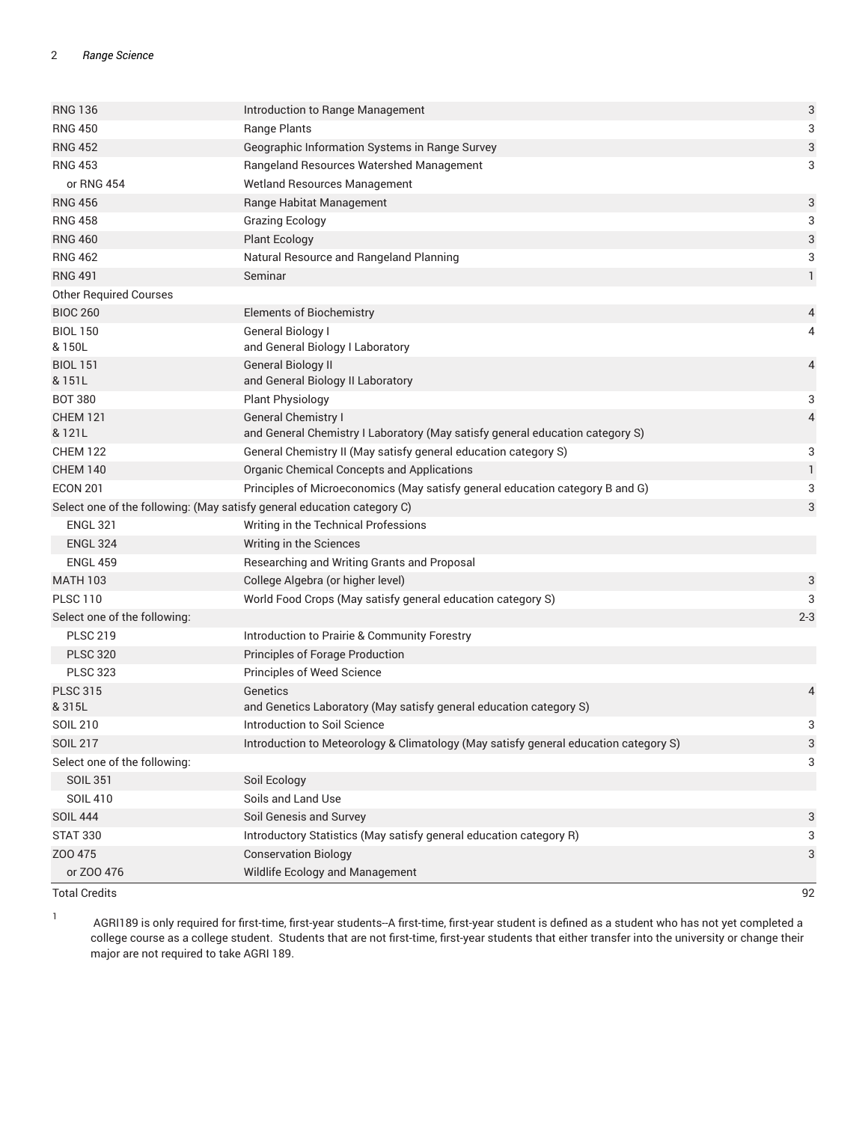| <b>RNG 136</b>                                                          | Introduction to Range Management                                                                            | 3            |
|-------------------------------------------------------------------------|-------------------------------------------------------------------------------------------------------------|--------------|
| <b>RNG 450</b>                                                          | Range Plants                                                                                                | 3            |
| <b>RNG 452</b>                                                          | Geographic Information Systems in Range Survey                                                              | 3            |
| <b>RNG 453</b>                                                          | Rangeland Resources Watershed Management                                                                    | 3            |
| or RNG 454                                                              | Wetland Resources Management                                                                                |              |
| <b>RNG 456</b>                                                          | Range Habitat Management                                                                                    | 3            |
| <b>RNG 458</b>                                                          | <b>Grazing Ecology</b>                                                                                      | 3            |
| <b>RNG 460</b>                                                          | <b>Plant Ecology</b>                                                                                        | 3            |
| <b>RNG 462</b>                                                          | Natural Resource and Rangeland Planning                                                                     | 3            |
| <b>RNG 491</b>                                                          | Seminar                                                                                                     | $\mathbf{1}$ |
| <b>Other Required Courses</b>                                           |                                                                                                             |              |
| <b>BIOC 260</b>                                                         | <b>Elements of Biochemistry</b>                                                                             | 4            |
| <b>BIOL 150</b>                                                         | General Biology I                                                                                           | 4            |
| & 150L                                                                  | and General Biology I Laboratory                                                                            |              |
| <b>BIOL 151</b>                                                         | <b>General Biology II</b>                                                                                   | 4            |
| & 151L                                                                  | and General Biology II Laboratory                                                                           |              |
| <b>BOT 380</b>                                                          | <b>Plant Physiology</b>                                                                                     | 3            |
| <b>CHEM 121</b><br>& 121L                                               | <b>General Chemistry I</b><br>and General Chemistry I Laboratory (May satisfy general education category S) | 4            |
| <b>CHEM 122</b>                                                         | General Chemistry II (May satisfy general education category S)                                             | 3            |
| <b>CHEM 140</b>                                                         | Organic Chemical Concepts and Applications                                                                  | $\mathbf{1}$ |
| <b>ECON 201</b>                                                         | Principles of Microeconomics (May satisfy general education category B and G)                               | 3            |
| Select one of the following: (May satisfy general education category C) |                                                                                                             | 3            |
| <b>ENGL 321</b>                                                         | Writing in the Technical Professions                                                                        |              |
| <b>ENGL 324</b>                                                         | Writing in the Sciences                                                                                     |              |
| <b>ENGL 459</b>                                                         | Researching and Writing Grants and Proposal                                                                 |              |
| <b>MATH 103</b>                                                         | College Algebra (or higher level)                                                                           | 3            |
| <b>PLSC 110</b>                                                         | World Food Crops (May satisfy general education category S)                                                 | 3            |
| Select one of the following:                                            |                                                                                                             | $2 - 3$      |
| <b>PLSC 219</b>                                                         | Introduction to Prairie & Community Forestry                                                                |              |
| <b>PLSC 320</b>                                                         | Principles of Forage Production                                                                             |              |
| <b>PLSC 323</b>                                                         | Principles of Weed Science                                                                                  |              |
| <b>PLSC 315</b>                                                         | Genetics                                                                                                    | 4            |
| & 315L                                                                  | and Genetics Laboratory (May satisfy general education category S)                                          |              |
| <b>SOIL 210</b>                                                         | Introduction to Soil Science                                                                                | 3            |
| <b>SOIL 217</b>                                                         | Introduction to Meteorology & Climatology (May satisfy general education category S)                        | 3            |
| Select one of the following:                                            |                                                                                                             | 3            |
| <b>SOIL 351</b>                                                         | Soil Ecology                                                                                                |              |
| <b>SOIL 410</b>                                                         | Soils and Land Use                                                                                          |              |
| <b>SOIL 444</b>                                                         | Soil Genesis and Survey                                                                                     | 3            |
| <b>STAT 330</b>                                                         | Introductory Statistics (May satisfy general education category R)                                          | 3            |
| Z00 475                                                                 | <b>Conservation Biology</b>                                                                                 | 3            |
| or ZOO 476                                                              | Wildlife Ecology and Management                                                                             |              |
| <b>Total Credits</b>                                                    |                                                                                                             | 92           |

1

AGRI189 is only required for first-time, first-year students--A first-time, first-year student is defined as a student who has not yet completed a college course as a college student. Students that are not first-time, first-year students that either transfer into the university or change their major are not required to take AGRI 189.